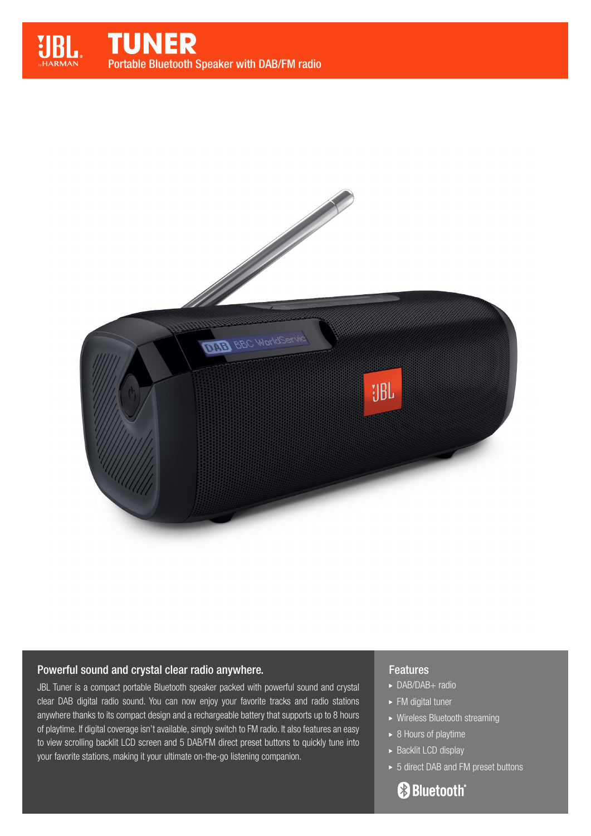

# Powerful sound and crystal clear radio anywhere.

JBL Tuner is a compact portable Bluetooth speaker packed with powerful sound and crystal clear DAB digital radio sound. You can now enjoy your favorite tracks and radio stations anywhere thanks to its compact design and a rechargeable battery that supports up to 8 hours of playtime. If digital coverage isn't available, simply switch to FM radio. It also features an easy to view scrolling backlit LCD screen and 5 DAB/FM direct preset buttons to quickly tune into your favorite stations, making it your ultimate on-the-go listening companion.

## Features

- ▶ DAB/DAB+ radio
- ► FM digital tuner
- Wireless Bluetooth streaming
- $\overline{\triangleright}$  8 Hours of playtime
- $\triangleright$  Backlit LCD display
- ► 5 direct DAB and FM preset buttons